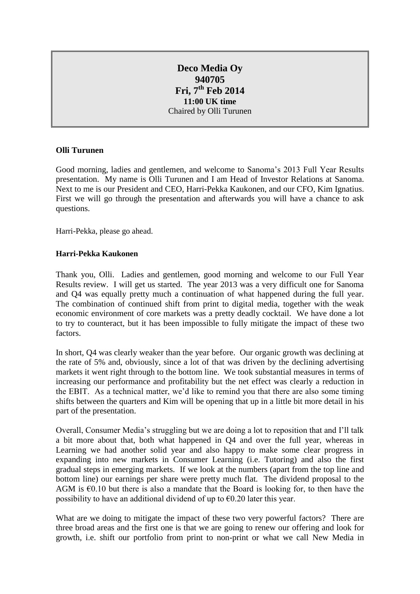# **Deco Media Oy 940705 Fri, 7th Feb 2014 11:00 UK time** Chaired by Olli Turunen

# **Olli Turunen**

Good morning, ladies and gentlemen, and welcome to Sanoma's 2013 Full Year Results presentation. My name is Olli Turunen and I am Head of Investor Relations at Sanoma. Next to me is our President and CEO, Harri-Pekka Kaukonen, and our CFO, Kim Ignatius. First we will go through the presentation and afterwards you will have a chance to ask questions.

Harri-Pekka, please go ahead.

# **Harri-Pekka Kaukonen**

Thank you, Olli. Ladies and gentlemen, good morning and welcome to our Full Year Results review. I will get us started. The year 2013 was a very difficult one for Sanoma and Q4 was equally pretty much a continuation of what happened during the full year. The combination of continued shift from print to digital media, together with the weak economic environment of core markets was a pretty deadly cocktail. We have done a lot to try to counteract, but it has been impossible to fully mitigate the impact of these two factors.

In short, Q4 was clearly weaker than the year before. Our organic growth was declining at the rate of 5% and, obviously, since a lot of that was driven by the declining advertising markets it went right through to the bottom line. We took substantial measures in terms of increasing our performance and profitability but the net effect was clearly a reduction in the EBIT. As a technical matter, we'd like to remind you that there are also some timing shifts between the quarters and Kim will be opening that up in a little bit more detail in his part of the presentation.

Overall, Consumer Media's struggling but we are doing a lot to reposition that and I'll talk a bit more about that, both what happened in Q4 and over the full year, whereas in Learning we had another solid year and also happy to make some clear progress in expanding into new markets in Consumer Learning (i.e. Tutoring) and also the first gradual steps in emerging markets. If we look at the numbers (apart from the top line and bottom line) our earnings per share were pretty much flat. The dividend proposal to the AGM is  $\epsilon$ 0.10 but there is also a mandate that the Board is looking for, to then have the possibility to have an additional dividend of up to  $\epsilon$ 0.20 later this year.

What are we doing to mitigate the impact of these two very powerful factors? There are three broad areas and the first one is that we are going to renew our offering and look for growth, i.e. shift our portfolio from print to non-print or what we call New Media in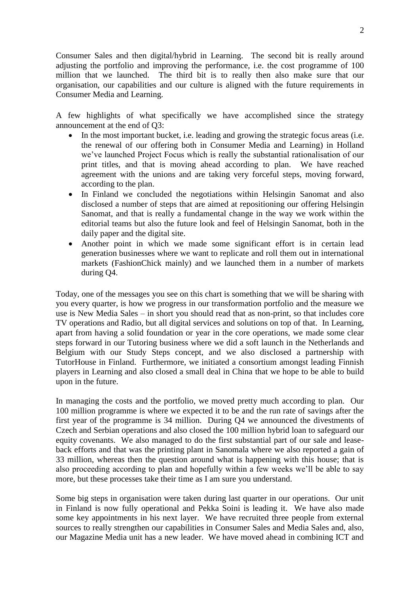Consumer Sales and then digital/hybrid in Learning. The second bit is really around adjusting the portfolio and improving the performance, i.e. the cost programme of 100 million that we launched. The third bit is to really then also make sure that our organisation, our capabilities and our culture is aligned with the future requirements in Consumer Media and Learning.

A few highlights of what specifically we have accomplished since the strategy announcement at the end of Q3:

- In the most important bucket, i.e. leading and growing the strategic focus areas (i.e. the renewal of our offering both in Consumer Media and Learning) in Holland we've launched Project Focus which is really the substantial rationalisation of our print titles, and that is moving ahead according to plan. We have reached agreement with the unions and are taking very forceful steps, moving forward, according to the plan.
- In Finland we concluded the negotiations within Helsingin Sanomat and also disclosed a number of steps that are aimed at repositioning our offering Helsingin Sanomat, and that is really a fundamental change in the way we work within the editorial teams but also the future look and feel of Helsingin Sanomat, both in the daily paper and the digital site.
- Another point in which we made some significant effort is in certain lead generation businesses where we want to replicate and roll them out in international markets (FashionChick mainly) and we launched them in a number of markets during Q4.

Today, one of the messages you see on this chart is something that we will be sharing with you every quarter, is how we progress in our transformation portfolio and the measure we use is New Media Sales – in short you should read that as non-print, so that includes core TV operations and Radio, but all digital services and solutions on top of that. In Learning, apart from having a solid foundation or year in the core operations, we made some clear steps forward in our Tutoring business where we did a soft launch in the Netherlands and Belgium with our Study Steps concept, and we also disclosed a partnership with TutorHouse in Finland. Furthermore, we initiated a consortium amongst leading Finnish players in Learning and also closed a small deal in China that we hope to be able to build upon in the future.

In managing the costs and the portfolio, we moved pretty much according to plan. Our 100 million programme is where we expected it to be and the run rate of savings after the first year of the programme is 34 million. During Q4 we announced the divestments of Czech and Serbian operations and also closed the 100 million hybrid loan to safeguard our equity covenants. We also managed to do the first substantial part of our sale and leaseback efforts and that was the printing plant in Sanomala where we also reported a gain of 33 million, whereas then the question around what is happening with this house; that is also proceeding according to plan and hopefully within a few weeks we'll be able to say more, but these processes take their time as I am sure you understand.

Some big steps in organisation were taken during last quarter in our operations. Our unit in Finland is now fully operational and Pekka Soini is leading it. We have also made some key appointments in his next layer. We have recruited three people from external sources to really strengthen our capabilities in Consumer Sales and Media Sales and, also, our Magazine Media unit has a new leader. We have moved ahead in combining ICT and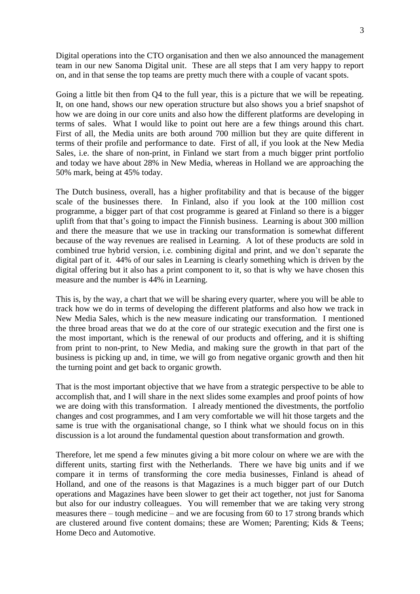Digital operations into the CTO organisation and then we also announced the management team in our new Sanoma Digital unit. These are all steps that I am very happy to report on, and in that sense the top teams are pretty much there with a couple of vacant spots.

Going a little bit then from Q4 to the full year, this is a picture that we will be repeating. It, on one hand, shows our new operation structure but also shows you a brief snapshot of how we are doing in our core units and also how the different platforms are developing in terms of sales. What I would like to point out here are a few things around this chart. First of all, the Media units are both around 700 million but they are quite different in terms of their profile and performance to date. First of all, if you look at the New Media Sales, i.e. the share of non-print, in Finland we start from a much bigger print portfolio and today we have about 28% in New Media, whereas in Holland we are approaching the 50% mark, being at 45% today.

The Dutch business, overall, has a higher profitability and that is because of the bigger scale of the businesses there. In Finland, also if you look at the 100 million cost programme, a bigger part of that cost programme is geared at Finland so there is a bigger uplift from that that's going to impact the Finnish business. Learning is about 300 million and there the measure that we use in tracking our transformation is somewhat different because of the way revenues are realised in Learning. A lot of these products are sold in combined true hybrid version, i.e. combining digital and print, and we don't separate the digital part of it. 44% of our sales in Learning is clearly something which is driven by the digital offering but it also has a print component to it, so that is why we have chosen this measure and the number is 44% in Learning.

This is, by the way, a chart that we will be sharing every quarter, where you will be able to track how we do in terms of developing the different platforms and also how we track in New Media Sales, which is the new measure indicating our transformation. I mentioned the three broad areas that we do at the core of our strategic execution and the first one is the most important, which is the renewal of our products and offering, and it is shifting from print to non-print, to New Media, and making sure the growth in that part of the business is picking up and, in time, we will go from negative organic growth and then hit the turning point and get back to organic growth.

That is the most important objective that we have from a strategic perspective to be able to accomplish that, and I will share in the next slides some examples and proof points of how we are doing with this transformation. I already mentioned the divestments, the portfolio changes and cost programmes, and I am very comfortable we will hit those targets and the same is true with the organisational change, so I think what we should focus on in this discussion is a lot around the fundamental question about transformation and growth.

Therefore, let me spend a few minutes giving a bit more colour on where we are with the different units, starting first with the Netherlands. There we have big units and if we compare it in terms of transforming the core media businesses, Finland is ahead of Holland, and one of the reasons is that Magazines is a much bigger part of our Dutch operations and Magazines have been slower to get their act together, not just for Sanoma but also for our industry colleagues. You will remember that we are taking very strong measures there – tough medicine – and we are focusing from 60 to 17 strong brands which are clustered around five content domains; these are Women; Parenting; Kids & Teens; Home Deco and Automotive.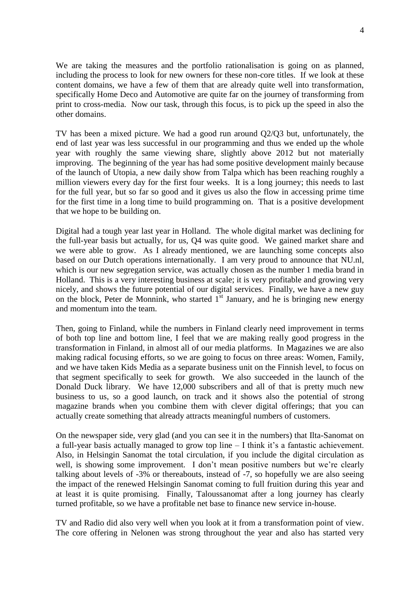We are taking the measures and the portfolio rationalisation is going on as planned, including the process to look for new owners for these non-core titles. If we look at these content domains, we have a few of them that are already quite well into transformation, specifically Home Deco and Automotive are quite far on the journey of transforming from print to cross-media. Now our task, through this focus, is to pick up the speed in also the other domains.

TV has been a mixed picture. We had a good run around Q2/Q3 but, unfortunately, the end of last year was less successful in our programming and thus we ended up the whole year with roughly the same viewing share, slightly above 2012 but not materially improving. The beginning of the year has had some positive development mainly because of the launch of Utopia, a new daily show from Talpa which has been reaching roughly a million viewers every day for the first four weeks. It is a long journey; this needs to last for the full year, but so far so good and it gives us also the flow in accessing prime time for the first time in a long time to build programming on. That is a positive development that we hope to be building on.

Digital had a tough year last year in Holland. The whole digital market was declining for the full-year basis but actually, for us, Q4 was quite good. We gained market share and we were able to grow. As I already mentioned, we are launching some concepts also based on our Dutch operations internationally. I am very proud to announce that NU.nl, which is our new segregation service, was actually chosen as the number 1 media brand in Holland. This is a very interesting business at scale; it is very profitable and growing very nicely, and shows the future potential of our digital services. Finally, we have a new guy on the block, Peter de Monnink, who started  $1^{st}$  January, and he is bringing new energy and momentum into the team.

Then, going to Finland, while the numbers in Finland clearly need improvement in terms of both top line and bottom line, I feel that we are making really good progress in the transformation in Finland, in almost all of our media platforms. In Magazines we are also making radical focusing efforts, so we are going to focus on three areas: Women, Family, and we have taken Kids Media as a separate business unit on the Finnish level, to focus on that segment specifically to seek for growth. We also succeeded in the launch of the Donald Duck library. We have 12,000 subscribers and all of that is pretty much new business to us, so a good launch, on track and it shows also the potential of strong magazine brands when you combine them with clever digital offerings; that you can actually create something that already attracts meaningful numbers of customers.

On the newspaper side, very glad (and you can see it in the numbers) that Ilta-Sanomat on a full-year basis actually managed to grow top line – I think it's a fantastic achievement. Also, in Helsingin Sanomat the total circulation, if you include the digital circulation as well, is showing some improvement. I don't mean positive numbers but we're clearly talking about levels of -3% or thereabouts, instead of -7, so hopefully we are also seeing the impact of the renewed Helsingin Sanomat coming to full fruition during this year and at least it is quite promising. Finally, Taloussanomat after a long journey has clearly turned profitable, so we have a profitable net base to finance new service in-house.

TV and Radio did also very well when you look at it from a transformation point of view. The core offering in Nelonen was strong throughout the year and also has started very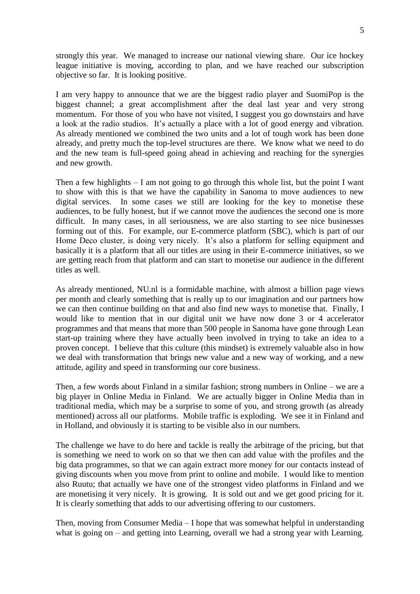strongly this year. We managed to increase our national viewing share. Our ice hockey league initiative is moving, according to plan, and we have reached our subscription objective so far. It is looking positive.

I am very happy to announce that we are the biggest radio player and SuomiPop is the biggest channel; a great accomplishment after the deal last year and very strong momentum. For those of you who have not visited, I suggest you go downstairs and have a look at the radio studios. It's actually a place with a lot of good energy and vibration. As already mentioned we combined the two units and a lot of tough work has been done already, and pretty much the top-level structures are there. We know what we need to do and the new team is full-speed going ahead in achieving and reaching for the synergies and new growth.

Then a few highlights  $-1$  am not going to go through this whole list, but the point I want to show with this is that we have the capability in Sanoma to move audiences to new digital services. In some cases we still are looking for the key to monetise these audiences, to be fully honest, but if we cannot move the audiences the second one is more difficult. In many cases, in all seriousness, we are also starting to see nice businesses forming out of this. For example, our E-commerce platform (SBC), which is part of our Home Deco cluster, is doing very nicely. It's also a platform for selling equipment and basically it is a platform that all our titles are using in their E-commerce initiatives, so we are getting reach from that platform and can start to monetise our audience in the different titles as well.

As already mentioned, NU.nl is a formidable machine, with almost a billion page views per month and clearly something that is really up to our imagination and our partners how we can then continue building on that and also find new ways to monetise that. Finally, I would like to mention that in our digital unit we have now done 3 or 4 accelerator programmes and that means that more than 500 people in Sanoma have gone through Lean start-up training where they have actually been involved in trying to take an idea to a proven concept. I believe that this culture (this mindset) is extremely valuable also in how we deal with transformation that brings new value and a new way of working, and a new attitude, agility and speed in transforming our core business.

Then, a few words about Finland in a similar fashion; strong numbers in Online – we are a big player in Online Media in Finland. We are actually bigger in Online Media than in traditional media, which may be a surprise to some of you, and strong growth (as already mentioned) across all our platforms. Mobile traffic is exploding. We see it in Finland and in Holland, and obviously it is starting to be visible also in our numbers.

The challenge we have to do here and tackle is really the arbitrage of the pricing, but that is something we need to work on so that we then can add value with the profiles and the big data programmes, so that we can again extract more money for our contacts instead of giving discounts when you move from print to online and mobile. I would like to mention also Ruutu; that actually we have one of the strongest video platforms in Finland and we are monetising it very nicely. It is growing. It is sold out and we get good pricing for it. It is clearly something that adds to our advertising offering to our customers.

Then, moving from Consumer Media – I hope that was somewhat helpful in understanding what is going on – and getting into Learning, overall we had a strong year with Learning.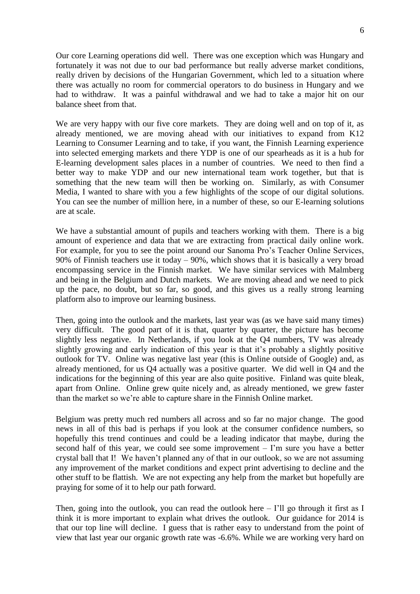Our core Learning operations did well. There was one exception which was Hungary and fortunately it was not due to our bad performance but really adverse market conditions, really driven by decisions of the Hungarian Government, which led to a situation where there was actually no room for commercial operators to do business in Hungary and we had to withdraw. It was a painful withdrawal and we had to take a major hit on our balance sheet from that.

We are very happy with our five core markets. They are doing well and on top of it, as already mentioned, we are moving ahead with our initiatives to expand from K12 Learning to Consumer Learning and to take, if you want, the Finnish Learning experience into selected emerging markets and there YDP is one of our spearheads as it is a hub for E-learning development sales places in a number of countries. We need to then find a better way to make YDP and our new international team work together, but that is something that the new team will then be working on. Similarly, as with Consumer Media, I wanted to share with you a few highlights of the scope of our digital solutions. You can see the number of million here, in a number of these, so our E-learning solutions are at scale.

We have a substantial amount of pupils and teachers working with them. There is a big amount of experience and data that we are extracting from practical daily online work. For example, for you to see the point around our Sanoma Pro's Teacher Online Services, 90% of Finnish teachers use it today – 90%, which shows that it is basically a very broad encompassing service in the Finnish market. We have similar services with Malmberg and being in the Belgium and Dutch markets. We are moving ahead and we need to pick up the pace, no doubt, but so far, so good, and this gives us a really strong learning platform also to improve our learning business.

Then, going into the outlook and the markets, last year was (as we have said many times) very difficult. The good part of it is that, quarter by quarter, the picture has become slightly less negative. In Netherlands, if you look at the Q4 numbers, TV was already slightly growing and early indication of this year is that it's probably a slightly positive outlook for TV. Online was negative last year (this is Online outside of Google) and, as already mentioned, for us Q4 actually was a positive quarter. We did well in Q4 and the indications for the beginning of this year are also quite positive. Finland was quite bleak, apart from Online. Online grew quite nicely and, as already mentioned, we grew faster than the market so we're able to capture share in the Finnish Online market.

Belgium was pretty much red numbers all across and so far no major change. The good news in all of this bad is perhaps if you look at the consumer confidence numbers, so hopefully this trend continues and could be a leading indicator that maybe, during the second half of this year, we could see some improvement – I'm sure you have a better crystal ball that I! We haven't planned any of that in our outlook, so we are not assuming any improvement of the market conditions and expect print advertising to decline and the other stuff to be flattish. We are not expecting any help from the market but hopefully are praying for some of it to help our path forward.

Then, going into the outlook, you can read the outlook here  $-1$ 'll go through it first as I think it is more important to explain what drives the outlook. Our guidance for 2014 is that our top line will decline. I guess that is rather easy to understand from the point of view that last year our organic growth rate was -6.6%. While we are working very hard on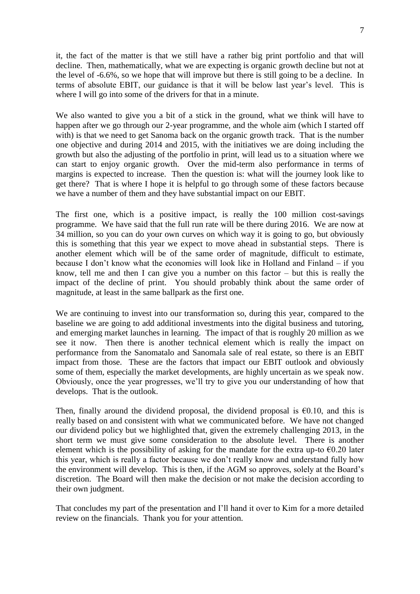it, the fact of the matter is that we still have a rather big print portfolio and that will decline. Then, mathematically, what we are expecting is organic growth decline but not at the level of -6.6%, so we hope that will improve but there is still going to be a decline. In terms of absolute EBIT, our guidance is that it will be below last year's level. This is where I will go into some of the drivers for that in a minute.

We also wanted to give you a bit of a stick in the ground, what we think will have to happen after we go through our 2-year programme, and the whole aim (which I started off with) is that we need to get Sanoma back on the organic growth track. That is the number one objective and during 2014 and 2015, with the initiatives we are doing including the growth but also the adjusting of the portfolio in print, will lead us to a situation where we can start to enjoy organic growth. Over the mid-term also performance in terms of margins is expected to increase. Then the question is: what will the journey look like to get there? That is where I hope it is helpful to go through some of these factors because we have a number of them and they have substantial impact on our EBIT.

The first one, which is a positive impact, is really the 100 million cost-savings programme. We have said that the full run rate will be there during 2016. We are now at 34 million, so you can do your own curves on which way it is going to go, but obviously this is something that this year we expect to move ahead in substantial steps. There is another element which will be of the same order of magnitude, difficult to estimate, because I don't know what the economies will look like in Holland and Finland – if you know, tell me and then I can give you a number on this factor – but this is really the impact of the decline of print. You should probably think about the same order of magnitude, at least in the same ballpark as the first one.

We are continuing to invest into our transformation so, during this year, compared to the baseline we are going to add additional investments into the digital business and tutoring, and emerging market launches in learning. The impact of that is roughly 20 million as we see it now. Then there is another technical element which is really the impact on performance from the Sanomatalo and Sanomala sale of real estate, so there is an EBIT impact from those. These are the factors that impact our EBIT outlook and obviously some of them, especially the market developments, are highly uncertain as we speak now. Obviously, once the year progresses, we'll try to give you our understanding of how that develops. That is the outlook.

Then, finally around the dividend proposal, the dividend proposal is  $\epsilon$ 0.10, and this is really based on and consistent with what we communicated before. We have not changed our dividend policy but we highlighted that, given the extremely challenging 2013, in the short term we must give some consideration to the absolute level. There is another element which is the possibility of asking for the mandate for the extra up-to  $\epsilon$ 0.20 later this year, which is really a factor because we don't really know and understand fully how the environment will develop. This is then, if the AGM so approves, solely at the Board's discretion. The Board will then make the decision or not make the decision according to their own judgment.

That concludes my part of the presentation and I'll hand it over to Kim for a more detailed review on the financials. Thank you for your attention.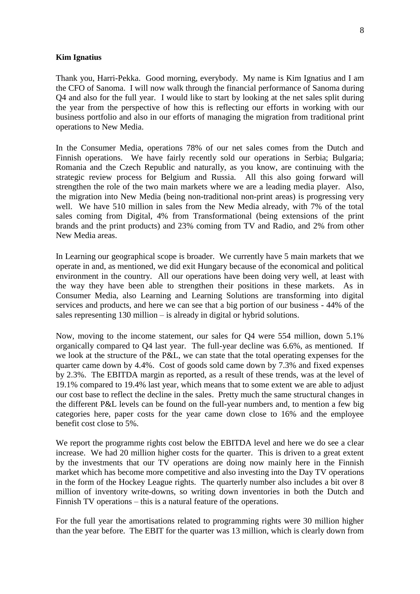#### **Kim Ignatius**

Thank you, Harri-Pekka. Good morning, everybody. My name is Kim Ignatius and I am the CFO of Sanoma. I will now walk through the financial performance of Sanoma during

Q4 and also for the full year. I would like to start by looking at the net sales split during the year from the perspective of how this is reflecting our efforts in working with our business portfolio and also in our efforts of managing the migration from traditional print operations to New Media.

In the Consumer Media, operations 78% of our net sales comes from the Dutch and Finnish operations. We have fairly recently sold our operations in Serbia; Bulgaria; Romania and the Czech Republic and naturally, as you know, are continuing with the strategic review process for Belgium and Russia. All this also going forward will strengthen the role of the two main markets where we are a leading media player. Also, the migration into New Media (being non-traditional non-print areas) is progressing very well. We have 510 million in sales from the New Media already, with 7% of the total sales coming from Digital, 4% from Transformational (being extensions of the print brands and the print products) and 23% coming from TV and Radio, and 2% from other New Media areas.

In Learning our geographical scope is broader. We currently have 5 main markets that we operate in and, as mentioned, we did exit Hungary because of the economical and political environment in the country. All our operations have been doing very well, at least with the way they have been able to strengthen their positions in these markets. As in Consumer Media, also Learning and Learning Solutions are transforming into digital services and products, and here we can see that a big portion of our business - 44% of the sales representing 130 million – is already in digital or hybrid solutions.

Now, moving to the income statement, our sales for Q4 were 554 million, down 5.1% organically compared to Q4 last year. The full-year decline was 6.6%, as mentioned. If we look at the structure of the P&L, we can state that the total operating expenses for the quarter came down by 4.4%. Cost of goods sold came down by 7.3% and fixed expenses by 2.3%. The EBITDA margin as reported, as a result of these trends, was at the level of 19.1% compared to 19.4% last year, which means that to some extent we are able to adjust our cost base to reflect the decline in the sales. Pretty much the same structural changes in the different P&L levels can be found on the full-year numbers and, to mention a few big categories here, paper costs for the year came down close to 16% and the employee benefit cost close to 5%.

We report the programme rights cost below the EBITDA level and here we do see a clear increase. We had 20 million higher costs for the quarter. This is driven to a great extent by the investments that our TV operations are doing now mainly here in the Finnish market which has become more competitive and also investing into the Day TV operations in the form of the Hockey League rights. The quarterly number also includes a bit over 8 million of inventory write-downs, so writing down inventories in both the Dutch and Finnish TV operations – this is a natural feature of the operations.

For the full year the amortisations related to programming rights were 30 million higher than the year before. The EBIT for the quarter was 13 million, which is clearly down from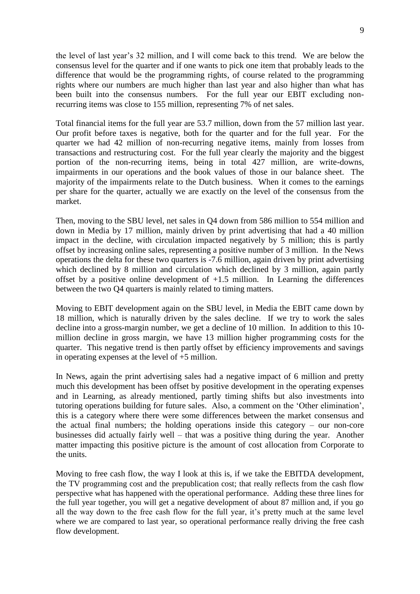the level of last year's 32 million, and I will come back to this trend. We are below the consensus level for the quarter and if one wants to pick one item that probably leads to the difference that would be the programming rights, of course related to the programming rights where our numbers are much higher than last year and also higher than what has been built into the consensus numbers. For the full year our EBIT excluding nonrecurring items was close to 155 million, representing 7% of net sales.

Total financial items for the full year are 53.7 million, down from the 57 million last year. Our profit before taxes is negative, both for the quarter and for the full year. For the quarter we had 42 million of non-recurring negative items, mainly from losses from transactions and restructuring cost. For the full year clearly the majority and the biggest portion of the non-recurring items, being in total 427 million, are write-downs, impairments in our operations and the book values of those in our balance sheet. The majority of the impairments relate to the Dutch business. When it comes to the earnings per share for the quarter, actually we are exactly on the level of the consensus from the market.

Then, moving to the SBU level, net sales in Q4 down from 586 million to 554 million and down in Media by 17 million, mainly driven by print advertising that had a 40 million impact in the decline, with circulation impacted negatively by 5 million; this is partly offset by increasing online sales, representing a positive number of 3 million. In the News operations the delta for these two quarters is -7.6 million, again driven by print advertising which declined by 8 million and circulation which declined by 3 million, again partly offset by a positive online development of  $+1.5$  million. In Learning the differences between the two Q4 quarters is mainly related to timing matters.

Moving to EBIT development again on the SBU level, in Media the EBIT came down by 18 million, which is naturally driven by the sales decline. If we try to work the sales decline into a gross-margin number, we get a decline of 10 million. In addition to this 10 million decline in gross margin, we have 13 million higher programming costs for the quarter. This negative trend is then partly offset by efficiency improvements and savings in operating expenses at the level of +5 million.

In News, again the print advertising sales had a negative impact of 6 million and pretty much this development has been offset by positive development in the operating expenses and in Learning, as already mentioned, partly timing shifts but also investments into tutoring operations building for future sales. Also, a comment on the 'Other elimination', this is a category where there were some differences between the market consensus and the actual final numbers; the holding operations inside this category – our non-core businesses did actually fairly well – that was a positive thing during the year. Another matter impacting this positive picture is the amount of cost allocation from Corporate to the units.

Moving to free cash flow, the way I look at this is, if we take the EBITDA development, the TV programming cost and the prepublication cost; that really reflects from the cash flow perspective what has happened with the operational performance. Adding these three lines for the full year together, you will get a negative development of about 87 million and, if you go all the way down to the free cash flow for the full year, it's pretty much at the same level where we are compared to last year, so operational performance really driving the free cash flow development.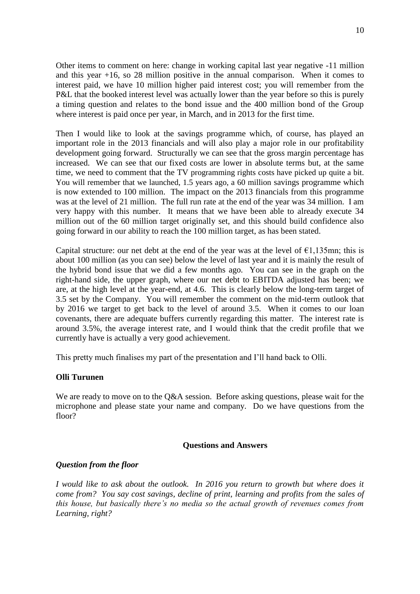Other items to comment on here: change in working capital last year negative -11 million and this year +16, so 28 million positive in the annual comparison. When it comes to interest paid, we have 10 million higher paid interest cost; you will remember from the P&L that the booked interest level was actually lower than the year before so this is purely a timing question and relates to the bond issue and the 400 million bond of the Group where interest is paid once per year, in March, and in 2013 for the first time.

Then I would like to look at the savings programme which, of course, has played an important role in the 2013 financials and will also play a major role in our profitability development going forward. Structurally we can see that the gross margin percentage has increased. We can see that our fixed costs are lower in absolute terms but, at the same time, we need to comment that the TV programming rights costs have picked up quite a bit. You will remember that we launched, 1.5 years ago, a 60 million savings programme which is now extended to 100 million. The impact on the 2013 financials from this programme was at the level of 21 million. The full run rate at the end of the year was 34 million. I am very happy with this number. It means that we have been able to already execute 34 million out of the 60 million target originally set, and this should build confidence also going forward in our ability to reach the 100 million target, as has been stated.

Capital structure: our net debt at the end of the year was at the level of  $\epsilon$ 1,135mn; this is about 100 million (as you can see) below the level of last year and it is mainly the result of the hybrid bond issue that we did a few months ago. You can see in the graph on the right-hand side, the upper graph, where our net debt to EBITDA adjusted has been; we are, at the high level at the year-end, at 4.6. This is clearly below the long-term target of 3.5 set by the Company. You will remember the comment on the mid-term outlook that by 2016 we target to get back to the level of around 3.5. When it comes to our loan covenants, there are adequate buffers currently regarding this matter. The interest rate is around 3.5%, the average interest rate, and I would think that the credit profile that we currently have is actually a very good achievement.

This pretty much finalises my part of the presentation and I'll hand back to Olli.

# **Olli Turunen**

We are ready to move on to the Q&A session. Before asking questions, please wait for the microphone and please state your name and company. Do we have questions from the floor?

# **Questions and Answers**

# *Question from the floor*

*I would like to ask about the outlook. In 2016 you return to growth but where does it come from? You say cost savings, decline of print, learning and profits from the sales of this house, but basically there's no media so the actual growth of revenues comes from Learning, right?*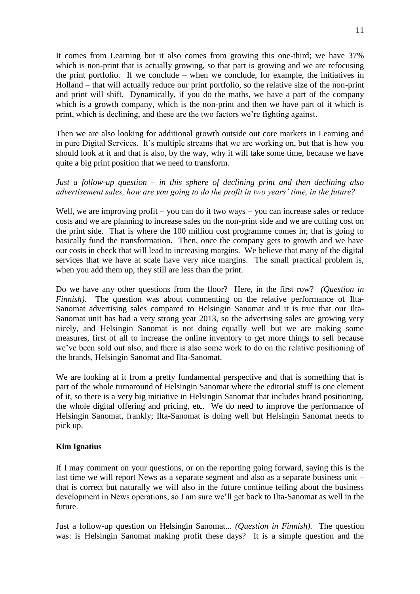It comes from Learning but it also comes from growing this one-third; we have 37% which is non-print that is actually growing, so that part is growing and we are refocusing the print portfolio. If we conclude – when we conclude, for example, the initiatives in Holland – that will actually reduce our print portfolio, so the relative size of the non-print and print will shift. Dynamically, if you do the maths, we have a part of the company which is a growth company, which is the non-print and then we have part of it which is print, which is declining, and these are the two factors we're fighting against.

Then we are also looking for additional growth outside out core markets in Learning and in pure Digital Services. It's multiple streams that we are working on, but that is how you should look at it and that is also, by the way, why it will take some time, because we have quite a big print position that we need to transform.

# *Just a follow-up question – in this sphere of declining print and then declining also advertisement sales, how are you going to do the profit in two years' time, in the future?*

Well, we are improving profit – you can do it two ways – you can increase sales or reduce costs and we are planning to increase sales on the non-print side and we are cutting cost on the print side. That is where the 100 million cost programme comes in; that is going to basically fund the transformation. Then, once the company gets to growth and we have our costs in check that will lead to increasing margins. We believe that many of the digital services that we have at scale have very nice margins. The small practical problem is, when you add them up, they still are less than the print.

Do we have any other questions from the floor? Here, in the first row? *(Question in Finnish*). The question was about commenting on the relative performance of Ilta-Sanomat advertising sales compared to Helsingin Sanomat and it is true that our Ilta-Sanomat unit has had a very strong year 2013, so the advertising sales are growing very nicely, and Helsingin Sanomat is not doing equally well but we are making some measures, first of all to increase the online inventory to get more things to sell because we've been sold out also, and there is also some work to do on the relative positioning of the brands, Helsingin Sanomat and Ilta-Sanomat.

We are looking at it from a pretty fundamental perspective and that is something that is part of the whole turnaround of Helsingin Sanomat where the editorial stuff is one element of it, so there is a very big initiative in Helsingin Sanomat that includes brand positioning, the whole digital offering and pricing, etc. We do need to improve the performance of Helsingin Sanomat, frankly; Ilta-Sanomat is doing well but Helsingin Sanomat needs to pick up.

# **Kim Ignatius**

If I may comment on your questions, or on the reporting going forward, saying this is the last time we will report News as a separate segment and also as a separate business unit – that is correct but naturally we will also in the future continue telling about the business development in News operations, so I am sure we'll get back to Ilta-Sanomat as well in the future.

Just a follow-up question on Helsingin Sanomat... *(Question in Finnish).* The question was: is Helsingin Sanomat making profit these days? It is a simple question and the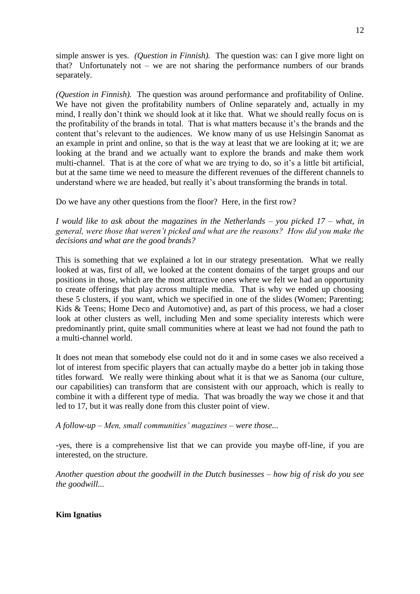simple answer is yes. *(Question in Finnish).* The question was: can I give more light on that? Unfortunately not – we are not sharing the performance numbers of our brands separately.

*(Question in Finnish).* The question was around performance and profitability of Online. We have not given the profitability numbers of Online separately and, actually in my mind, I really don't think we should look at it like that. What we should really focus on is the profitability of the brands in total. That is what matters because it's the brands and the content that's relevant to the audiences. We know many of us use Helsingin Sanomat as an example in print and online, so that is the way at least that we are looking at it; we are looking at the brand and we actually want to explore the brands and make them work multi-channel. That is at the core of what we are trying to do, so it's a little bit artificial, but at the same time we need to measure the different revenues of the different channels to understand where we are headed, but really it's about transforming the brands in total.

Do we have any other questions from the floor? Here, in the first row?

*I would like to ask about the magazines in the Netherlands – you picked 17 – what, in general, were those that weren't picked and what are the reasons? How did you make the decisions and what are the good brands?*

This is something that we explained a lot in our strategy presentation. What we really looked at was, first of all, we looked at the content domains of the target groups and our positions in those, which are the most attractive ones where we felt we had an opportunity to create offerings that play across multiple media. That is why we ended up choosing these 5 clusters, if you want, which we specified in one of the slides (Women; Parenting; Kids & Teens; Home Deco and Automotive) and, as part of this process, we had a closer look at other clusters as well, including Men and some speciality interests which were predominantly print, quite small communities where at least we had not found the path to a multi-channel world.

It does not mean that somebody else could not do it and in some cases we also received a lot of interest from specific players that can actually maybe do a better job in taking those titles forward. We really were thinking about what it is that we as Sanoma (our culture, our capabilities) can transform that are consistent with our approach, which is really to combine it with a different type of media. That was broadly the way we chose it and that led to 17, but it was really done from this cluster point of view.

*A follow-up – Men, small communities' magazines – were those...*

-yes, there is a comprehensive list that we can provide you maybe off-line, if you are interested, on the structure.

*Another question about the goodwill in the Dutch businesses – how big of risk do you see the goodwill...*

**Kim Ignatius**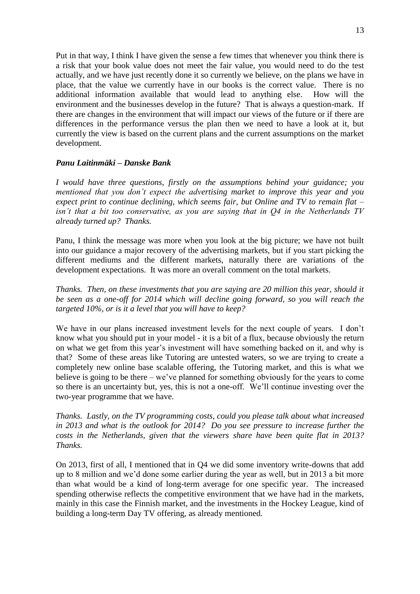Put in that way, I think I have given the sense a few times that whenever you think there is a risk that your book value does not meet the fair value, you would need to do the test actually, and we have just recently done it so currently we believe, on the plans we have in place, that the value we currently have in our books is the correct value. There is no additional information available that would lead to anything else. How will the environment and the businesses develop in the future? That is always a question-mark. If there are changes in the environment that will impact our views of the future or if there are differences in the performance versus the plan then we need to have a look at it, but currently the view is based on the current plans and the current assumptions on the market development.

# *Panu Laitinmäki – Danske Bank*

*I would have three questions, firstly on the assumptions behind your guidance; you mentioned that you don't expect the advertising market to improve this year and you expect print to continue declining, which seems fair, but Online and TV to remain flat – isn't that a bit too conservative, as you are saying that in Q4 in the Netherlands TV already turned up? Thanks.*

Panu, I think the message was more when you look at the big picture; we have not built into our guidance a major recovery of the advertising markets, but if you start picking the different mediums and the different markets, naturally there are variations of the development expectations. It was more an overall comment on the total markets.

*Thanks. Then, on these investments that you are saying are 20 million this year, should it be seen as a one-off for 2014 which will decline going forward, so you will reach the targeted 10%, or is it a level that you will have to keep?*

We have in our plans increased investment levels for the next couple of years. I don't know what you should put in your model - it is a bit of a flux, because obviously the return on what we get from this year's investment will have something backed on it, and why is that? Some of these areas like Tutoring are untested waters, so we are trying to create a completely new online base scalable offering, the Tutoring market, and this is what we believe is going to be there – we've planned for something obviously for the years to come so there is an uncertainty but, yes, this is not a one-off. We'll continue investing over the two-year programme that we have.

*Thanks. Lastly, on the TV programming costs, could you please talk about what increased in 2013 and what is the outlook for 2014? Do you see pressure to increase further the costs in the Netherlands, given that the viewers share have been quite flat in 2013? Thanks.*

On 2013, first of all, I mentioned that in Q4 we did some inventory write-downs that add up to 8 million and we'd done some earlier during the year as well, but in 2013 a bit more than what would be a kind of long-term average for one specific year. The increased spending otherwise reflects the competitive environment that we have had in the markets, mainly in this case the Finnish market, and the investments in the Hockey League, kind of building a long-term Day TV offering, as already mentioned.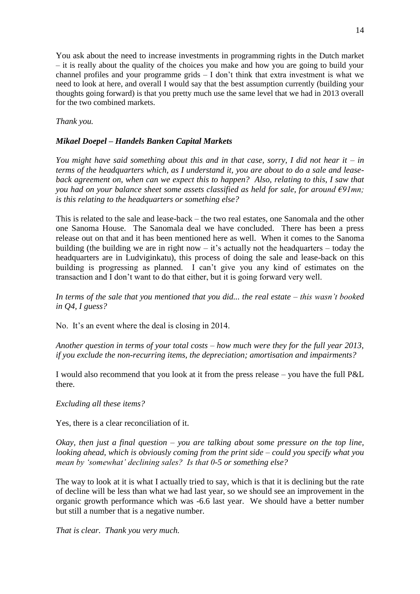You ask about the need to increase investments in programming rights in the Dutch market – it is really about the quality of the choices you make and how you are going to build your channel profiles and your programme grids – I don't think that extra investment is what we need to look at here, and overall I would say that the best assumption currently (building your thoughts going forward) is that you pretty much use the same level that we had in 2013 overall for the two combined markets.

# *Thank you.*

# *Mikael Doepel – Handels Banken Capital Markets*

*You might have said something about this and in that case, sorry, I did not hear it – in terms of the headquarters which, as I understand it, you are about to do a sale and leaseback agreement on, when can we expect this to happen? Also, relating to this, I saw that you had on your balance sheet some assets classified as held for sale, for around €91mn; is this relating to the headquarters or something else?*

This is related to the sale and lease-back – the two real estates, one Sanomala and the other one Sanoma House. The Sanomala deal we have concluded. There has been a press release out on that and it has been mentioned here as well. When it comes to the Sanoma building (the building we are in right now  $-$  it's actually not the headquarters  $-$  today the headquarters are in Ludviginkatu), this process of doing the sale and lease-back on this building is progressing as planned. I can't give you any kind of estimates on the transaction and I don't want to do that either, but it is going forward very well.

*In terms of the sale that you mentioned that you did... the real estate – this wasn't booked in Q4, I guess?*

No. It's an event where the deal is closing in 2014.

*Another question in terms of your total costs – how much were they for the full year 2013, if you exclude the non-recurring items, the depreciation; amortisation and impairments?*

I would also recommend that you look at it from the press release – you have the full P&L there.

# *Excluding all these items?*

Yes, there is a clear reconciliation of it.

*Okay, then just a final question – you are talking about some pressure on the top line, looking ahead, which is obviously coming from the print side – could you specify what you mean by 'somewhat' declining sales? Is that 0-5 or something else?*

The way to look at it is what I actually tried to say, which is that it is declining but the rate of decline will be less than what we had last year, so we should see an improvement in the organic growth performance which was -6.6 last year. We should have a better number but still a number that is a negative number.

*That is clear. Thank you very much.*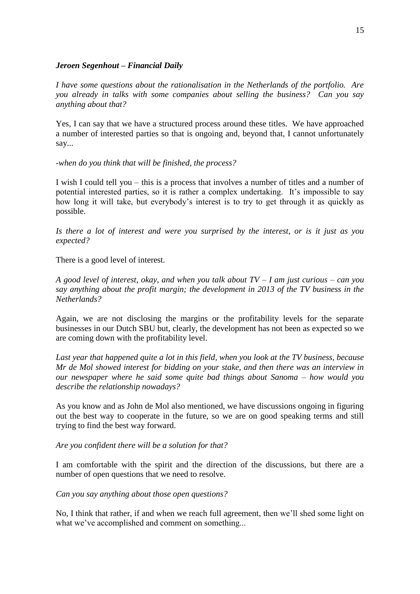#### *Jeroen Segenhout – Financial Daily*

*I have some questions about the rationalisation in the Netherlands of the portfolio. Are you already in talks with some companies about selling the business? Can you say anything about that?*

Yes, I can say that we have a structured process around these titles. We have approached a number of interested parties so that is ongoing and, beyond that, I cannot unfortunately say...

#### *-when do you think that will be finished, the process?*

I wish I could tell you – this is a process that involves a number of titles and a number of potential interested parties, so it is rather a complex undertaking. It's impossible to say how long it will take, but everybody's interest is to try to get through it as quickly as possible.

*Is there a lot of interest and were you surprised by the interest, or is it just as you expected?*

There is a good level of interest.

*A good level of interest, okay, and when you talk about TV – I am just curious – can you say anything about the profit margin; the development in 2013 of the TV business in the Netherlands?*

Again, we are not disclosing the margins or the profitability levels for the separate businesses in our Dutch SBU but, clearly, the development has not been as expected so we are coming down with the profitability level.

*Last year that happened quite a lot in this field, when you look at the TV business, because Mr de Mol showed interest for bidding on your stake, and then there was an interview in our newspaper where he said some quite bad things about Sanoma – how would you describe the relationship nowadays?*

As you know and as John de Mol also mentioned, we have discussions ongoing in figuring out the best way to cooperate in the future, so we are on good speaking terms and still trying to find the best way forward.

*Are you confident there will be a solution for that?*

I am comfortable with the spirit and the direction of the discussions, but there are a number of open questions that we need to resolve.

*Can you say anything about those open questions?*

No, I think that rather, if and when we reach full agreement, then we'll shed some light on what we've accomplished and comment on something...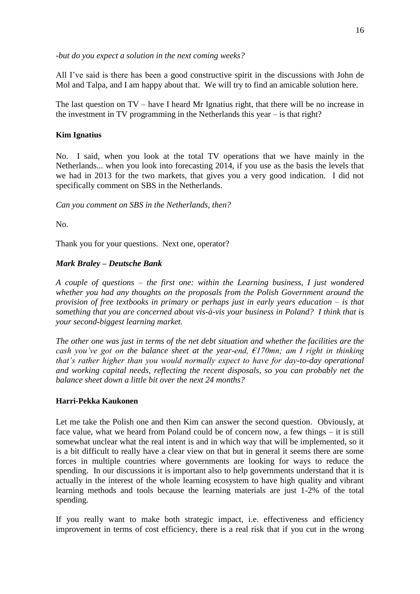*-but do you expect a solution in the next coming weeks?*

All I've said is there has been a good constructive spirit in the discussions with John de Mol and Talpa, and I am happy about that. We will try to find an amicable solution here.

The last question on TV – have I heard Mr Ignatius right, that there will be no increase in the investment in TV programming in the Netherlands this year – is that right?

# **Kim Ignatius**

No. I said, when you look at the total TV operations that we have mainly in the Netherlands... when you look into forecasting 2014, if you use as the basis the levels that we had in 2013 for the two markets, that gives you a very good indication. I did not specifically comment on SBS in the Netherlands.

*Can you comment on SBS in the Netherlands, then?*

No.

Thank you for your questions. Next one, operator?

# *Mark Braley – Deutsche Bank*

*A couple of questions – the first one: within the Learning business, I just wondered whether you had any thoughts on the proposals from the Polish Government around the provision of free textbooks in primary or perhaps just in early years education – is that something that you are concerned about vis-à-vis your business in Poland? I think that is your second-biggest learning market.*

*The other one was just in terms of the net debt situation and whether the facilities are the cash you've got on the balance sheet at the year-end, €170mn; am I right in thinking that's rather higher than you would normally expect to have for day-to-day operational and working capital needs, reflecting the recent disposals, so you can probably net the balance sheet down a little bit over the next 24 months?*

# **Harri-Pekka Kaukonen**

Let me take the Polish one and then Kim can answer the second question. Obviously, at face value, what we heard from Poland could be of concern now, a few things – it is still somewhat unclear what the real intent is and in which way that will be implemented, so it is a bit difficult to really have a clear view on that but in general it seems there are some forces in multiple countries where governments are looking for ways to reduce the spending. In our discussions it is important also to help governments understand that it is actually in the interest of the whole learning ecosystem to have high quality and vibrant learning methods and tools because the learning materials are just 1-2% of the total spending.

If you really want to make both strategic impact, i.e. effectiveness and efficiency improvement in terms of cost efficiency, there is a real risk that if you cut in the wrong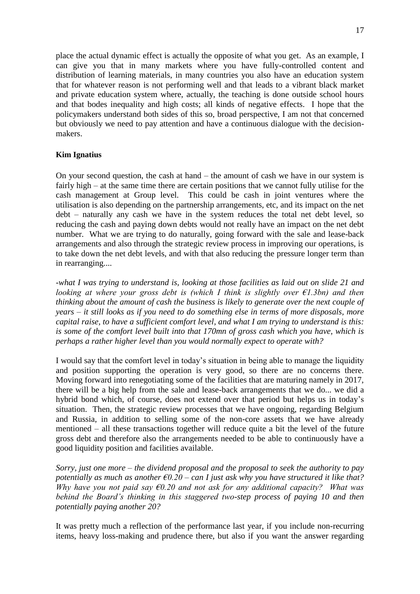place the actual dynamic effect is actually the opposite of what you get. As an example, I can give you that in many markets where you have fully-controlled content and distribution of learning materials, in many countries you also have an education system that for whatever reason is not performing well and that leads to a vibrant black market and private education system where, actually, the teaching is done outside school hours and that bodes inequality and high costs; all kinds of negative effects. I hope that the policymakers understand both sides of this so, broad perspective, I am not that concerned but obviously we need to pay attention and have a continuous dialogue with the decisionmakers.

# **Kim Ignatius**

On your second question, the cash at hand – the amount of cash we have in our system is fairly high – at the same time there are certain positions that we cannot fully utilise for the cash management at Group level. This could be cash in joint ventures where the utilisation is also depending on the partnership arrangements, etc, and its impact on the net debt – naturally any cash we have in the system reduces the total net debt level, so reducing the cash and paying down debts would not really have an impact on the net debt number. What we are trying to do naturally, going forward with the sale and lease-back arrangements and also through the strategic review process in improving our operations, is to take down the net debt levels, and with that also reducing the pressure longer term than in rearranging....

*-what I was trying to understand is, looking at those facilities as laid out on slide 21 and looking at where your gross debt is (which I think is slightly over €1.3bn) and then thinking about the amount of cash the business is likely to generate over the next couple of years – it still looks as if you need to do something else in terms of more disposals, more capital raise, to have a sufficient comfort level, and what I am trying to understand is this: is some of the comfort level built into that 170mn of gross cash which you have, which is perhaps a rather higher level than you would normally expect to operate with?*

I would say that the comfort level in today's situation in being able to manage the liquidity and position supporting the operation is very good, so there are no concerns there. Moving forward into renegotiating some of the facilities that are maturing namely in 2017, there will be a big help from the sale and lease-back arrangements that we do... we did a hybrid bond which, of course, does not extend over that period but helps us in today's situation. Then, the strategic review processes that we have ongoing, regarding Belgium and Russia, in addition to selling some of the non-core assets that we have already mentioned – all these transactions together will reduce quite a bit the level of the future gross debt and therefore also the arrangements needed to be able to continuously have a good liquidity position and facilities available.

*Sorry, just one more – the dividend proposal and the proposal to seek the authority to pay potentially as much as another €0.20 – can I just ask why you have structured it like that? Why have you not paid say €0.20 and not ask for any additional capacity? What was behind the Board's thinking in this staggered two-step process of paying 10 and then potentially paying another 20?*

It was pretty much a reflection of the performance last year, if you include non-recurring items, heavy loss-making and prudence there, but also if you want the answer regarding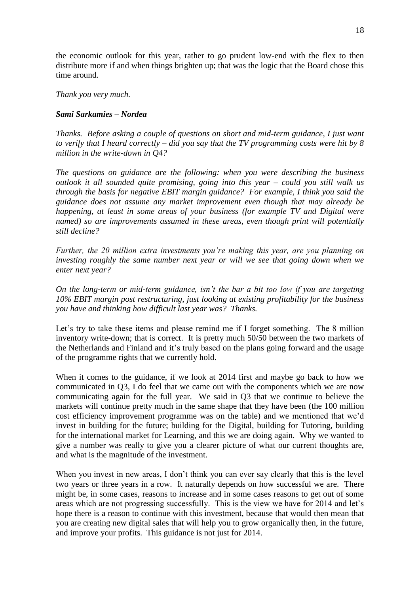the economic outlook for this year, rather to go prudent low-end with the flex to then distribute more if and when things brighten up; that was the logic that the Board chose this time around.

*Thank you very much.*

# *Sami Sarkamies – Nordea*

*Thanks. Before asking a couple of questions on short and mid-term guidance, I just want to verify that I heard correctly – did you say that the TV programming costs were hit by 8 million in the write-down in Q4?*

*The questions on guidance are the following: when you were describing the business outlook it all sounded quite promising, going into this year – could you still walk us through the basis for negative EBIT margin guidance? For example, I think you said the guidance does not assume any market improvement even though that may already be happening, at least in some areas of your business (for example TV and Digital were named) so are improvements assumed in these areas, even though print will potentially still decline?*

*Further, the 20 million extra investments you're making this year, are you planning on investing roughly the same number next year or will we see that going down when we enter next year?*

*On the long-term or mid-term guidance, isn't the bar a bit too low if you are targeting 10% EBIT margin post restructuring, just looking at existing profitability for the business you have and thinking how difficult last year was? Thanks.*

Let's try to take these items and please remind me if I forget something. The 8 million inventory write-down; that is correct. It is pretty much 50/50 between the two markets of the Netherlands and Finland and it's truly based on the plans going forward and the usage of the programme rights that we currently hold.

When it comes to the guidance, if we look at 2014 first and maybe go back to how we communicated in Q3, I do feel that we came out with the components which we are now communicating again for the full year. We said in Q3 that we continue to believe the markets will continue pretty much in the same shape that they have been (the 100 million cost efficiency improvement programme was on the table) and we mentioned that we'd invest in building for the future; building for the Digital, building for Tutoring, building for the international market for Learning, and this we are doing again. Why we wanted to give a number was really to give you a clearer picture of what our current thoughts are, and what is the magnitude of the investment.

When you invest in new areas, I don't think you can ever say clearly that this is the level two years or three years in a row. It naturally depends on how successful we are. There might be, in some cases, reasons to increase and in some cases reasons to get out of some areas which are not progressing successfully. This is the view we have for 2014 and let's hope there is a reason to continue with this investment, because that would then mean that you are creating new digital sales that will help you to grow organically then, in the future, and improve your profits. This guidance is not just for 2014.